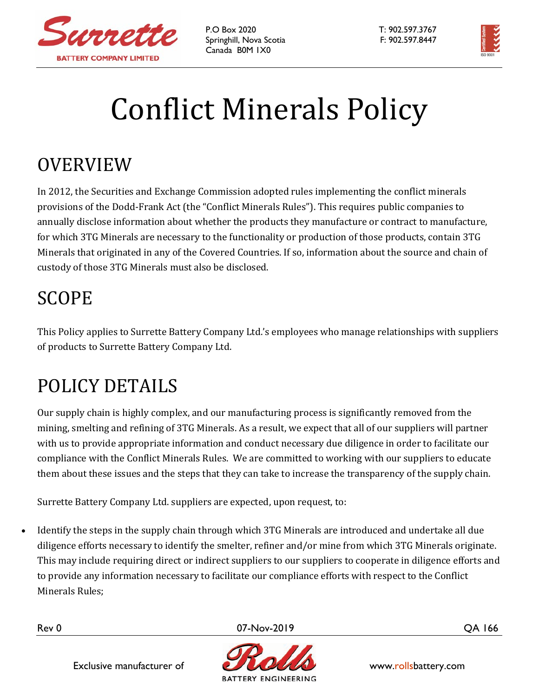

P.O Box 2020 T: 902.597.3767 Springhill, Nova Scotia F: 902.597.8447 Canada B0M 1X0



## **Conflict Minerals Policy**

## OVERVIEW

In 2012, the Securities and Exchange Commission adopted rules implementing the conflict minerals provisions of the Dodd-Frank Act (the "Conflict Minerals Rules"). This requires public companies to annually disclose information about whether the products they manufacture or contract to manufacture, for which 3TG Minerals are necessary to the functionality or production of those products, contain 3TG Minerals that originated in any of the Covered Countries. If so, information about the source and chain of custody of those 3TG Minerals must also be disclosed.

## SCOPE

This Policy applies to Surrette Battery Company Ltd.'s employees who manage relationships with suppliers of products to Surrette Battery Company Ltd.

## POLICY DETAILS

Our supply chain is highly complex, and our manufacturing process is significantly removed from the mining, smelting and refining of 3TG Minerals. As a result, we expect that all of our suppliers will partner with us to provide appropriate information and conduct necessary due diligence in order to facilitate our compliance with the Conflict Minerals Rules. We are committed to working with our suppliers to educate them about these issues and the steps that they can take to increase the transparency of the supply chain.

Surrette Battery Company Ltd. suppliers are expected, upon request, to:

Identify the steps in the supply chain through which 3TG Minerals are introduced and undertake all due diligence efforts necessary to identify the smelter, refiner and/or mine from which 3TG Minerals originate. This may include requiring direct or indirect suppliers to our suppliers to cooperate in diligence efforts and to provide any information necessary to facilitate our compliance efforts with respect to the Conflict Minerals Rules;

Rev 0 07-Nov-2019 QA 166